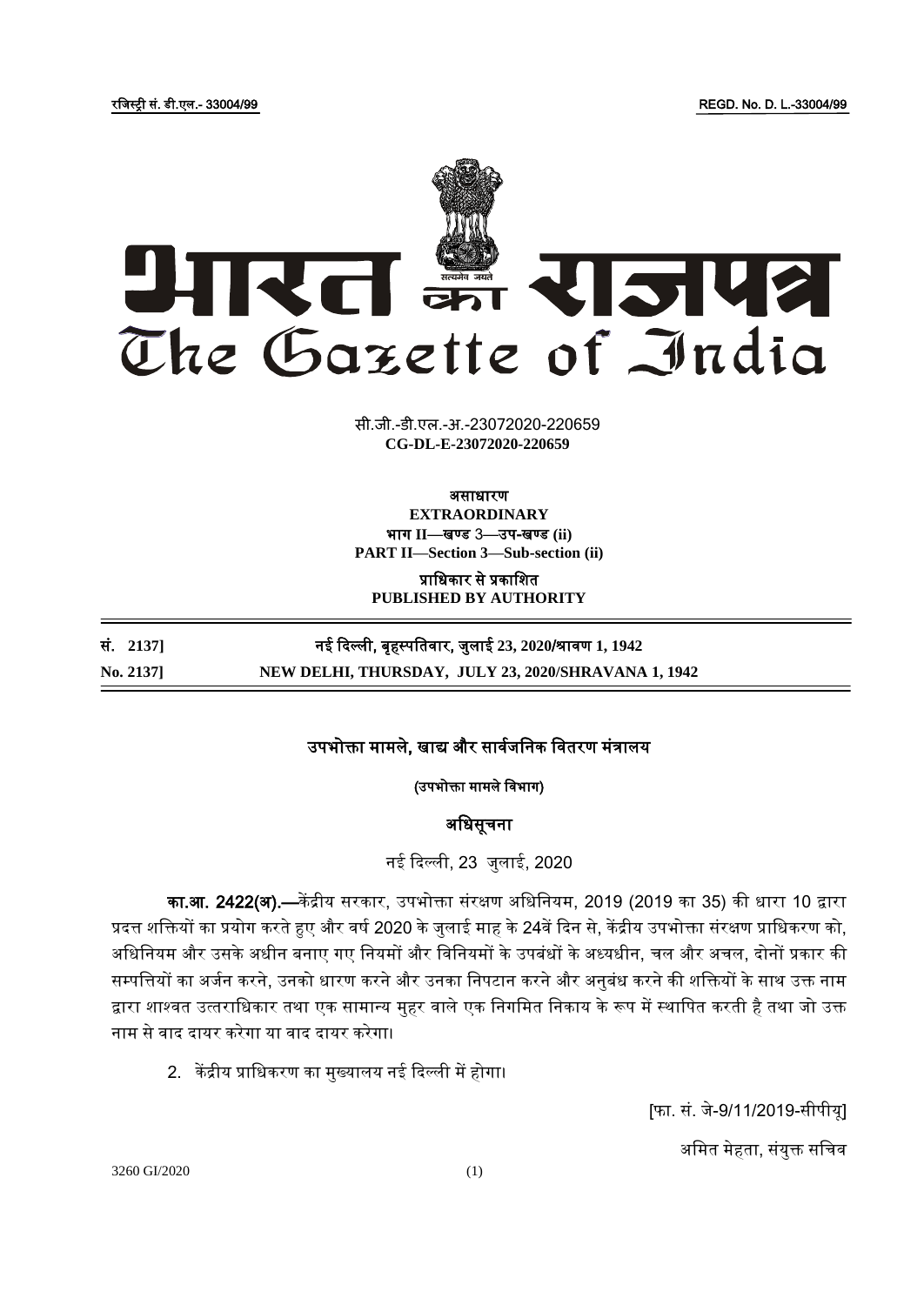रजिस्ट्री सं. डी.एल.- 33004/99 REGD. No. D. L.-33004/99



**xxxGIDHxxx xxxGIDExxx CG-DL-E-23072020-220659**सी.जी.-डी.एल.-अ.-23072020-220659

### असाधारण

**EXTRAORDINARY** भाग **II**—खण् ड 3—उप-खण् ड **(ii) PART II—Section 3—Sub-section (ii)**

प्राजधकार से प्रकाजित **PUBLISHED BY AUTHORITY**

सं. **2137]** नई ददल्ली, बृहस्ट् पजतर्ार, िुलाई **23, 2020**/श्रार्ण **1, 1942 No. 2137] NEW DELHI, THURSDAY, JULY 23, 2020/SHRAVANA 1, 1942**

## उपभोक्ता मामले, खाद्य और सार्विजनक जर्तरण मंत्रालय

(उपभोक्ता मामले जर्भाग)

# अजधसूचना

नई ददल्ली, 23 िुलाई, 2020

का.<mark>आ. 2422(अ).—</mark>केंद्रीय सरकार, उपभोक्ता संरक्षण अधिनियम, 2019 (2019 का 35) की धारा 10 द्वारा प्रदत्त शक्तियों का प्रयोग करते हुए और वर्ष 2020 के जुलाई माह के 24वें दिन से, केंद्रीय उपभोक्ता संरक्षण प्राधिकरण को, अजधजनयम और उसके अधीन बनाए गए जनयमों और जर्जनयमों के उपबंधों के अध्यधीन, चल और अचल, दोनों प्रकार की सम्पत्तियों का अर्जन करने, उनको धारण करने और उनका निपटान करने और अनुबंध करने की शक्तियों के साथ उक्त नाम द्वारा शाश्वत उत्तराधिकार तथा एक सामान्य मुहर वाले एक निगमित निकाय के रूप में स्थापित करती है तथा जो उक्त नाम से वाद दायर करेगा या वाद दायर करेगा।

2. केंद्रीय प्राधिकरण का मुख्यालय नई दिल्ली में होगा।

[फा. सं. िे-9/11/2019-सीपीयू]

अमित मेहता, संयुक्त सचिव

3260 GI/2020 (1)